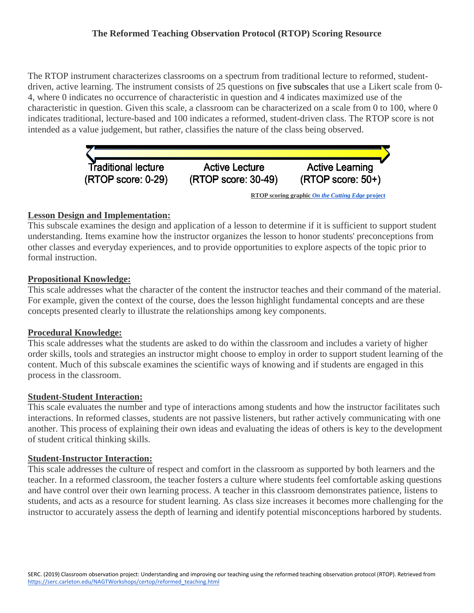# **The Reformed Teaching Observation Protocol (RTOP) Scoring Resource**

The RTOP instrument characterizes classrooms on a spectrum from traditional lecture to reformed, studentdriven, active learning. The instrument consists of 25 questions on [fi](https://serc.carleton.edu/NAGTWorkshops/certop/interpret.html)ve subscales that use a Likert scale from 0-4, where 0 indicates no occurrence of characteristic in question and 4 indicates maximized use of the characteristic in question. Given this scale, a classroom can be characterized on a scale from 0 to 100, where 0 indicates traditional, lecture-based and 100 indicates a reformed, student-driven class. The RTOP score is not intended as a value judgement, but rather, classifies the nature of the class being observed.



# **Lesson Design and Implementation:**

This subscale examines the design and application of a lesson to determine if it is sufficient to support student understanding. Items examine how the instructor organizes the lesson to honor students' preconceptions from other classes and everyday experiences, and to provide opportunities to explore aspects of the topic prior to formal instruction.

# **Propositional Knowledge:**

This scale addresses what the character of the content the instructor teaches and their command of the material. For example, given the context of the course, does the lesson highlight fundamental concepts and are these concepts presented clearly to illustrate the relationships among key components.

## **Procedural Knowledge:**

This scale addresses what the students are asked to do within the classroom and includes a variety of higher order skills, tools and strategies an instructor might choose to employ in order to support student learning of the content. Much of this subscale examines the scientific ways of knowing and if students are engaged in this process in the classroom.

## **Student-Student Interaction:**

This scale evaluates the number and type of interactions among students and how the instructor facilitates such interactions. In reformed classes, students are not passive listeners, but rather actively communicating with one another. This process of explaining their own ideas and evaluating the ideas of others is key to the development of student critical thinking skills.

## **Student-Instructor Interaction:**

This scale addresses the culture of respect and comfort in the classroom as supported by both learners and the teacher. In a reformed classroom, the teacher fosters a culture where students feel comfortable asking questions and have control over their own learning process. A teacher in this classroom demonstrates patience, listens to students, and acts as a resource for student learning. As class size increases it becomes more challenging for the instructor to accurately assess the depth of learning and identify potential misconceptions harbored by students.